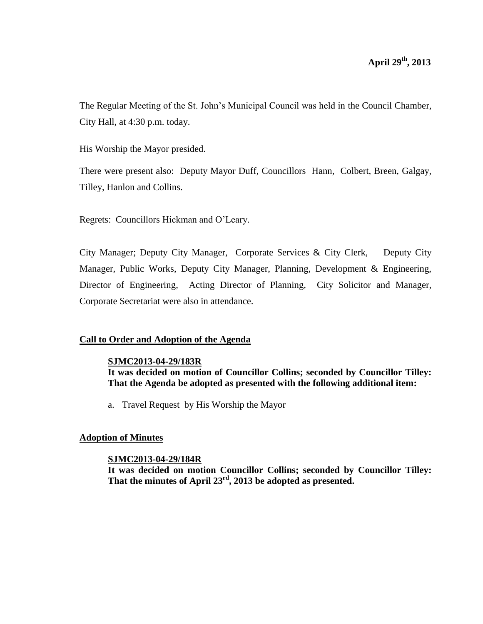The Regular Meeting of the St. John's Municipal Council was held in the Council Chamber, City Hall, at 4:30 p.m. today.

His Worship the Mayor presided.

There were present also: Deputy Mayor Duff, Councillors Hann, Colbert, Breen, Galgay, Tilley, Hanlon and Collins.

Regrets: Councillors Hickman and O'Leary.

City Manager; Deputy City Manager, Corporate Services & City Clerk, Deputy City Manager, Public Works, Deputy City Manager, Planning, Development & Engineering, Director of Engineering, Acting Director of Planning, City Solicitor and Manager, Corporate Secretariat were also in attendance.

# **Call to Order and Adoption of the Agenda**

# **SJMC2013-04-29/183R**

**It was decided on motion of Councillor Collins; seconded by Councillor Tilley: That the Agenda be adopted as presented with the following additional item:** 

a. Travel Request by His Worship the Mayor

# **Adoption of Minutes**

# **SJMC2013-04-29/184R**

**It was decided on motion Councillor Collins; seconded by Councillor Tilley: That the minutes of April 23rd, 2013 be adopted as presented.**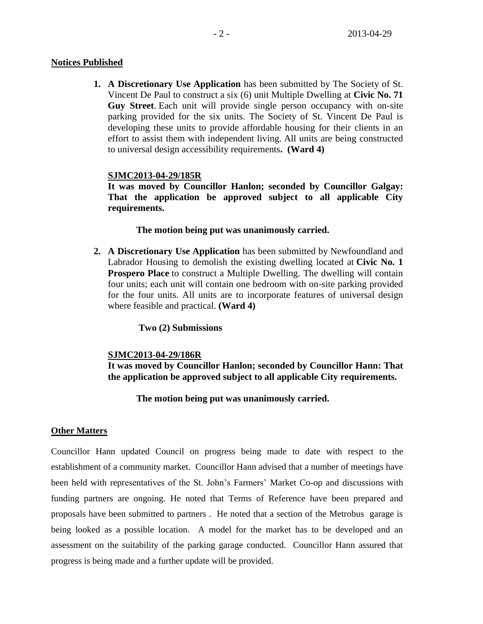### **Notices Published**

**1. A Discretionary Use Application** has been submitted by The Society of St. Vincent De Paul to construct a six (6) unit Multiple Dwelling at **Civic No. 71 Guy Street**. Each unit will provide single person occupancy with on-site parking provided for the six units. The Society of St. Vincent De Paul is developing these units to provide affordable housing for their clients in an effort to assist them with independent living. All units are being constructed to universal design accessibility requirements**. (Ward 4)**

### **SJMC2013-04-29/185R**

**It was moved by Councillor Hanlon; seconded by Councillor Galgay: That the application be approved subject to all applicable City requirements.**

### **The motion being put was unanimously carried.**

**2. A Discretionary Use Application** has been submitted by Newfoundland and Labrador Housing to demolish the existing dwelling located at **Civic No. 1 Prospero Place** to construct a Multiple Dwelling. The dwelling will contain four units; each unit will contain one bedroom with on-site parking provided for the four units. All units are to incorporate features of universal design where feasible and practical. **(Ward 4)**

**Two (2) Submissions**

### **SJMC2013-04-29/186R**

**It was moved by Councillor Hanlon; seconded by Councillor Hann: That the application be approved subject to all applicable City requirements.**

### **The motion being put was unanimously carried.**

### **Other Matters**

Councillor Hann updated Council on progress being made to date with respect to the establishment of a community market. Councillor Hann advised that a number of meetings have been held with representatives of the St. John's Farmers' Market Co-op and discussions with funding partners are ongoing. He noted that Terms of Reference have been prepared and proposals have been submitted to partners . He noted that a section of the Metrobus garage is being looked as a possible location. A model for the market has to be developed and an assessment on the suitability of the parking garage conducted. Councillor Hann assured that progress is being made and a further update will be provided.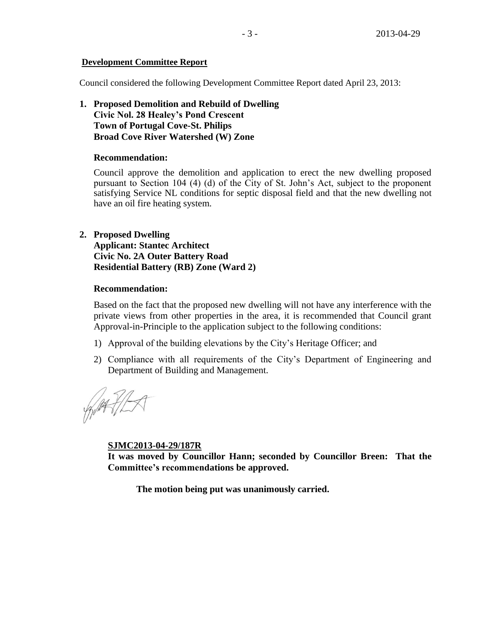### **Development Committee Report**

Council considered the following Development Committee Report dated April 23, 2013:

**1. Proposed Demolition and Rebuild of Dwelling Civic Nol. 28 Healey's Pond Crescent Town of Portugal Cove-St. Philips Broad Cove River Watershed (W) Zone**

### **Recommendation:**

Council approve the demolition and application to erect the new dwelling proposed pursuant to Section 104 (4) (d) of the City of St. John's Act, subject to the proponent satisfying Service NL conditions for septic disposal field and that the new dwelling not have an oil fire heating system.

# **2. Proposed Dwelling**

**Applicant: Stantec Architect Civic No. 2A Outer Battery Road Residential Battery (RB) Zone (Ward 2)**

### **Recommendation:**

Based on the fact that the proposed new dwelling will not have any interference with the private views from other properties in the area, it is recommended that Council grant Approval-in-Principle to the application subject to the following conditions:

- 1) Approval of the building elevations by the City's Heritage Officer; and
- 2) Compliance with all requirements of the City's Department of Engineering and Department of Building and Management.

WAFILA

**SJMC2013-04-29/187R**

**It was moved by Councillor Hann; seconded by Councillor Breen: That the Committee's recommendations be approved.** 

**The motion being put was unanimously carried.**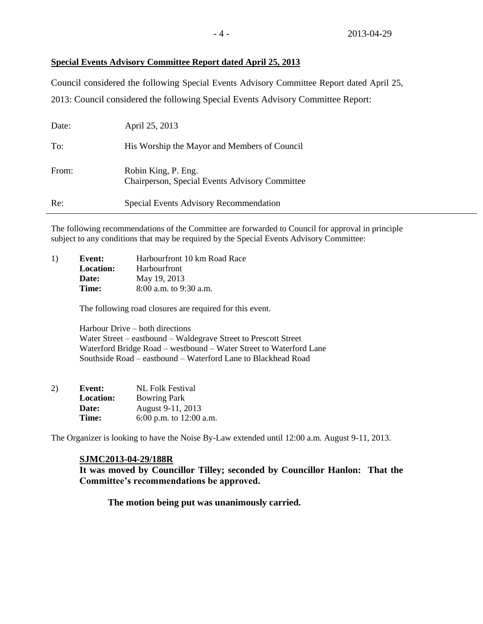### **Special Events Advisory Committee Report dated April 25, 2013**

Council considered the following Special Events Advisory Committee Report dated April 25, 2013: Council considered the following Special Events Advisory Committee Report:

| Date: | April 25, 2013                                                               |
|-------|------------------------------------------------------------------------------|
| To:   | His Worship the Mayor and Members of Council                                 |
| From: | Robin King, P. Eng.<br><b>Chairperson, Special Events Advisory Committee</b> |
| Re:   | Special Events Advisory Recommendation                                       |

The following recommendations of the Committee are forwarded to Council for approval in principle subject to any conditions that may be required by the Special Events Advisory Committee:

| 1) | Event:           | Harbourfront 10 km Road Race |
|----|------------------|------------------------------|
|    | <b>Location:</b> | <b>Harbourfront</b>          |
|    | Date:            | May 19, 2013                 |
|    | Time:            | $8:00$ a.m. to 9:30 a.m.     |
|    |                  |                              |

The following road closures are required for this event.

Harbour Drive – both directions Water Street – eastbound – Waldegrave Street to Prescott Street Waterford Bridge Road – westbound – Water Street to Waterford Lane Southside Road – eastbound – Waterford Lane to Blackhead Road

| 2) | Event:           | <b>NL Folk Festival</b> |
|----|------------------|-------------------------|
|    | <b>Location:</b> | <b>Bowring Park</b>     |
|    | Date:            | August 9-11, 2013       |
|    | Time:            | 6:00 p.m. to 12:00 a.m. |

The Organizer is looking to have the Noise By-Law extended until 12:00 a.m. August 9-11, 2013.

### **SJMC2013-04-29/188R**

**It was moved by Councillor Tilley; seconded by Councillor Hanlon: That the Committee's recommendations be approved.**

**The motion being put was unanimously carried.**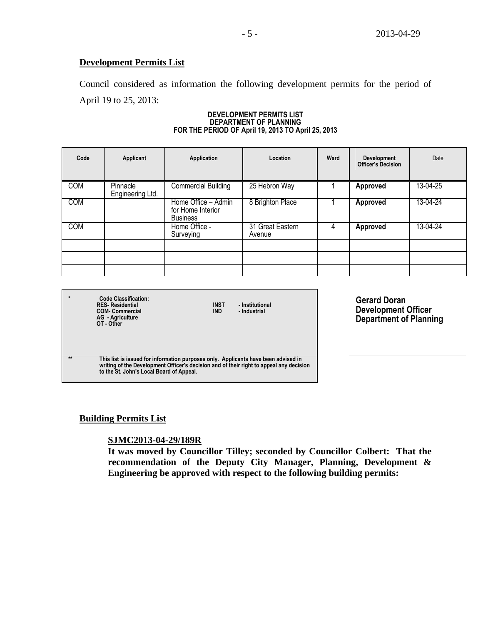### **Development Permits List**

Council considered as information the following development permits for the period of April 19 to 25, 2013:

#### **DEVELOPMENT PERMITS LIST DEPARTMENT OF PLANNING FOR THE PERIOD OF April 19, 2013 TO April 25, 2013**

| Code       | Applicant                    | Application                                                 | Location                   | Ward | <b>Development</b><br><b>Officer's Decision</b> | Date     |
|------------|------------------------------|-------------------------------------------------------------|----------------------------|------|-------------------------------------------------|----------|
| <b>COM</b> | Pinnacle<br>Engineering Ltd. | <b>Commercial Building</b>                                  | 25 Hebron Way              |      | Approved                                        | 13-04-25 |
| <b>COM</b> |                              | Home Office - Admin<br>for Home Interior<br><b>Business</b> | 8 Brighton Place           |      | <b>Approved</b>                                 | 13-04-24 |
| <b>COM</b> |                              | Home Office -<br>Surveying                                  | 31 Great Eastern<br>Avenue | 4    | <b>Approved</b>                                 | 13-04-24 |
|            |                              |                                                             |                            |      |                                                 |          |
|            |                              |                                                             |                            |      |                                                 |          |

**\* Code Classification: AG - Agriculture OT - Other**

**RES- Residential INST - Institutional COM- Commercial IND - Industrial** 

**writing of the Development Officer's decision and of their right to appeal any decision** 

**Gerard Doran Development Officer Department of Planning**

**\*\* This list is issued for information purposes only. Applicants have been advised in** 

**Building Permits List**

# **SJMC2013-04-29/189R**

**to the St. John's Local Board of Appeal.**

**It was moved by Councillor Tilley; seconded by Councillor Colbert: That the recommendation of the Deputy City Manager, Planning, Development & Engineering be approved with respect to the following building permits:**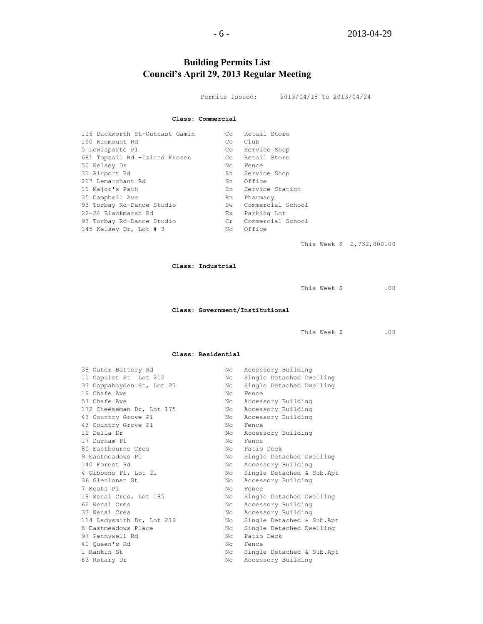# **Building Permits List Council's April 29, 2013 Regular Meeting**

Permits Issued: 2013/04/18 To 2013/04/24

#### **Class: Commercial**

| 116 Duckworth St-Outcast Gamin | Co  | Retail Store      |
|--------------------------------|-----|-------------------|
| 150 Kenmount Rd                | Co  | Club              |
| 5 Lewisporte Pl                | Co  | Service Shop      |
| 681 Topsail Rd -Island Frozen  | Co  | Retail Store      |
| 50 Kelsey Dr                   | Nс  | Fence             |
| 31 Airport Rd                  | Sn  | Service Shop      |
| 217 Lemarchant Rd              | Sn  | Office            |
| 11 Major's Path                | Sn  | Service Station   |
| 35 Campbell Ave                | Rn  | Pharmacy          |
| 93 Torbay Rd-Dance Studio      | Sw  | Commercial School |
| 22-24 Blackmarsh Rd            | Ex. | Parking Lot       |
| 93 Torbay Rd-Dance Studio      | Cr  | Commercial School |
| 145 Kelsey Dr, Lot # 3         | Nc  | Office            |
|                                |     |                   |

This Week \$ 2,732,800.00

#### **Class: Industrial**

This Week \$ .00

#### **Class: Government/Institutional**

This Week \$ .00

#### **Class: Residential**

| 38 Outer Battery Rd       | Nc  | Accessory Building        |
|---------------------------|-----|---------------------------|
| 11 Capulet St Lot 212     | Nc  | Single Detached Dwelling  |
| 33 Cappahayden St, Lot 23 | Nc  | Single Detached Dwelling  |
| 18 Chafe Ave              | Nc  | Fence                     |
| 57 Chafe Ave              | Nc  | Accessory Building        |
| 172 Cheeseman Dr, Lot 175 | Nc  | Accessory Building        |
| 43 Country Grove Pl       | Nc  | Accessory Building        |
| 43 Country Grove Pl       | Nc  | Fence                     |
| 11 Della Dr               | Nc  | Accessory Building        |
| 17 Durham Pl              | Nc  | Fence                     |
| 80 Eastbourne Cres        | Nc  | Patio Deck                |
| 9 Eastmeadows Pl          | Nc  | Single Detached Dwelling  |
| 140 Forest Rd             | Nc  | Accessory Building        |
| 4 Gibbons Pl, Lot 21      | Nc  | Single Detached & Sub.Apt |
| 36 Glenlonan St           | Nc  | Accessory Building        |
| 7 Keats Pl                | Nc. | Fence                     |
| 18 Kenai Cres, Lot 185    | Nc  | Single Detached Dwelling  |
| 62 Kenai Cres             | Nc  | Accessory Building        |
| 33 Kenai Cres             | Nc  | Accessory Building        |
| 114 Ladysmith Dr, Lot 219 | Nc  | Single Detached & Sub.Apt |
| 8 Eastmeadows Place       | Nc  | Single Detached Dwelling  |
| 97 Pennywell Rd           | Nc  | Patio Deck                |
| 40 Oueen's Rd             | Nc. | Fence                     |
| 1 Rankin St               | Nc  | Single Detached & Sub.Apt |
| 83 Rotary Dr              | Nc  | Accessory Building        |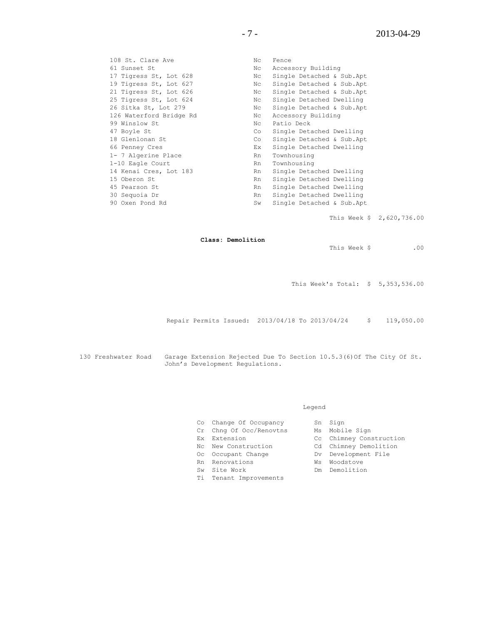108 St. Clare Ave No Nc Fence 61 Sunset St Nc Accessory Building 17 Tigress St, Lot 628 Nc Single Detached & Sub.Apt 19 Tigress St, Lot 627 Nc Single Detached & Sub.Apt 21 Tigress St, Lot 626 Nc Single Detached & Sub.Apt 25 Tigress St, Lot 624 Nc Single Detached Dwelling 26 Sitka St, Lot 279 Nc Single Detached & Sub.Apt 126 Waterford Bridge Rd Nc Accessory Building 99 Winslow St Nc Patio Deck 47 Boyle St Co Single Detached Dwelling 18 Glenlonan St Co Single Detached & Sub.Apt 66 Penney Cres Ex Single Detached Dwelling 1- 7 Algerine Place 1-10 Eagle Court 1-10 Eagle Court 1-10 Eagle Court 1-10 Eagle Court 1 16 Eagle Coard<br>14 Kenai Cres, Lot 183 15 Oberon St **Rn** Single Detached Dwelling 45 Pearson St **Rn** Single Detached Dwelling 30 Sequoia Dr Rn Single Detached Dwelling 90 Oxen Pond Rd Sw Single Detached & Sub.Apt

This Week \$ 2,620,736.00

**Class: Demolition**

This Week \$ .00

This Week's Total: \$ 5,353,536.00

Repair Permits Issued: 2013/04/18 To 2013/04/24 \$ 119,050.00

130 Freshwater Road Garage Extension Rejected Due To Section 10.5.3(6)Of The City Of St. John's Development Regulations.

#### Legend

| Co Change Of Occupancy  | Sn Sign                 |
|-------------------------|-------------------------|
| Cr Chng Of Occ/Renovtns | Ms Mobile Sign          |
| Ex Extension            | Cc Chimney Construction |
| Nc Wew Construction     | Cd Chimney Demolition   |
| Oc Occupant Change      | Dv Development File     |
| Rn Renovations          | Ws Woodstove            |
| Sw Site Work            | Dm Demolition           |
| Ti Tenant Improvements  |                         |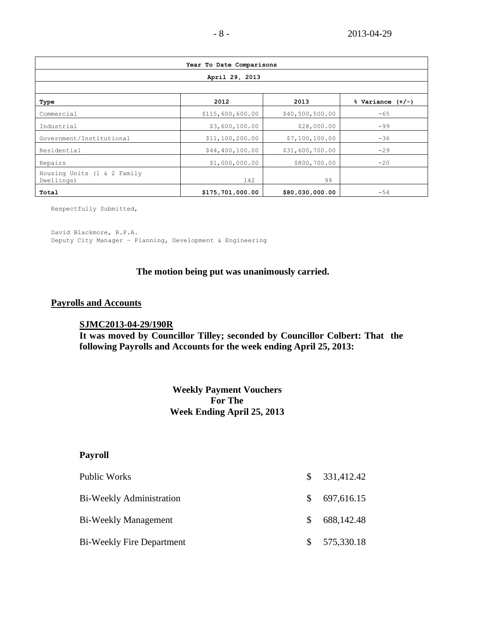| Year To Date Comparisons                  |                  |                 |                      |  |  |
|-------------------------------------------|------------------|-----------------|----------------------|--|--|
| April 29, 2013                            |                  |                 |                      |  |  |
|                                           |                  |                 |                      |  |  |
| Type                                      | 2012             | 2013            | $%$ Variance $(+/-)$ |  |  |
| Commercial                                | \$115,600,600.00 | \$40,500,500.00 | $-65$                |  |  |
| Industrial                                | \$3,600,100.00   | \$28,000.00     | $-99$                |  |  |
| Government/Institutional                  | \$11,100,200.00  | \$7,100,100.00  | $-36$                |  |  |
| Residential                               | \$44,400,100.00  | \$31,600,700.00 | $-29$                |  |  |
| Repairs                                   | \$1,000,000.00   | \$800,700.00    | $-20$                |  |  |
| Housing Units (1 & 2 Family<br>Dwellings) | 142              | 99              |                      |  |  |
| Total                                     | \$175,701,000.00 | \$80,030,000.00 | $-54$                |  |  |

Respectfully Submitted,

David Blackmore, R.P.A. Deputy City Manager – Planning, Development & Engineering

### **The motion being put was unanimously carried.**

### **Payrolls and Accounts**

### **SJMC2013-04-29/190R**

**It was moved by Councillor Tilley; seconded by Councillor Colbert: That the following Payrolls and Accounts for the week ending April 25, 2013:**

# **Weekly Payment Vouchers For The Week Ending April 25, 2013**

# **Payroll**

| Public Works                     | $\mathbb{S}^-$ | 331,412.42 |
|----------------------------------|----------------|------------|
| Bi-Weekly Administration         | SS.            | 697,616.15 |
| Bi-Weekly Management             | S.             | 688,142.48 |
| <b>Bi-Weekly Fire Department</b> |                | 575,330.18 |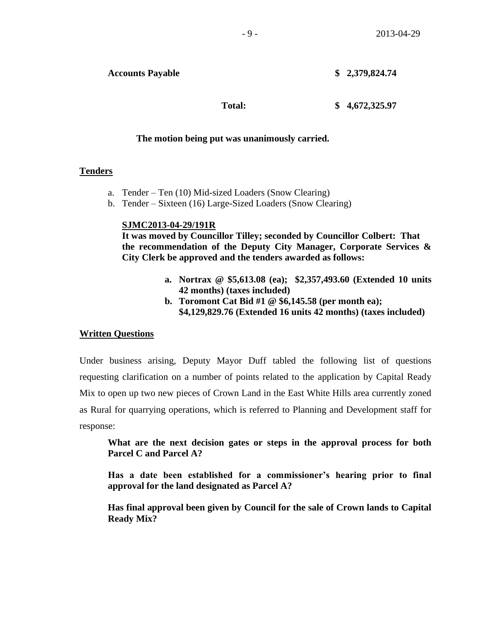**Total: \$ 4,672,325.97**

### **The motion being put was unanimously carried.**

### **Tenders**

- a. Tender Ten (10) Mid-sized Loaders (Snow Clearing)
- b. Tender Sixteen (16) Large-Sized Loaders (Snow Clearing)

### **SJMC2013-04-29/191R**

**It was moved by Councillor Tilley; seconded by Councillor Colbert: That the recommendation of the Deputy City Manager, Corporate Services & City Clerk be approved and the tenders awarded as follows:**

- **a. Nortrax @ \$5,613.08 (ea); \$2,357,493.60 (Extended 10 units 42 months) (taxes included)**
- **b. Toromont Cat Bid #1 @ \$6,145.58 (per month ea); \$4,129,829.76 (Extended 16 units 42 months) (taxes included)**

# **Written Questions**

Under business arising, Deputy Mayor Duff tabled the following list of questions requesting clarification on a number of points related to the application by Capital Ready Mix to open up two new pieces of Crown Land in the East White Hills area currently zoned as Rural for quarrying operations, which is referred to Planning and Development staff for response:

**What are the next decision gates or steps in the approval process for both Parcel C and Parcel A?**

**Has a date been established for a commissioner's hearing prior to final approval for the land designated as Parcel A?**

**Has final approval been given by Council for the sale of Crown lands to Capital Ready Mix?**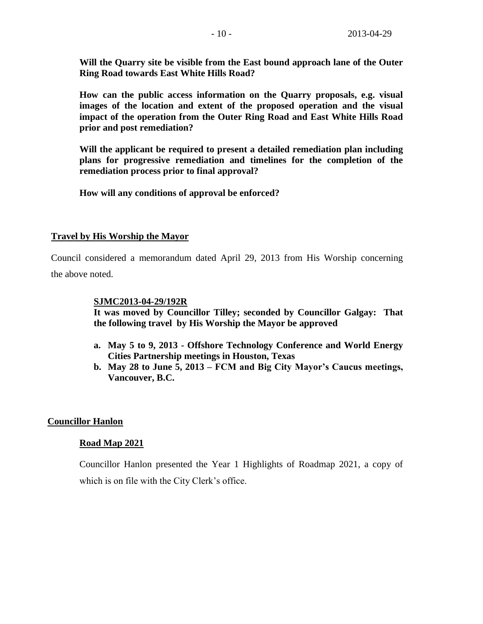**Will the Quarry site be visible from the East bound approach lane of the Outer Ring Road towards East White Hills Road?**

**How can the public access information on the Quarry proposals, e.g. visual images of the location and extent of the proposed operation and the visual impact of the operation from the Outer Ring Road and East White Hills Road prior and post remediation?**

**Will the applicant be required to present a detailed remediation plan including plans for progressive remediation and timelines for the completion of the remediation process prior to final approval?**

**How will any conditions of approval be enforced?**

### **Travel by His Worship the Mayor**

Council considered a memorandum dated April 29, 2013 from His Worship concerning the above noted.

### **SJMC2013-04-29/192R**

**It was moved by Councillor Tilley; seconded by Councillor Galgay: That the following travel by His Worship the Mayor be approved**

- **a. May 5 to 9, 2013 - Offshore Technology Conference and World Energy Cities Partnership meetings in Houston, Texas**
- **b. May 28 to June 5, 2013 – FCM and Big City Mayor's Caucus meetings, Vancouver, B.C.**

### **Councillor Hanlon**

### **Road Map 2021**

Councillor Hanlon presented the Year 1 Highlights of Roadmap 2021, a copy of which is on file with the City Clerk's office.